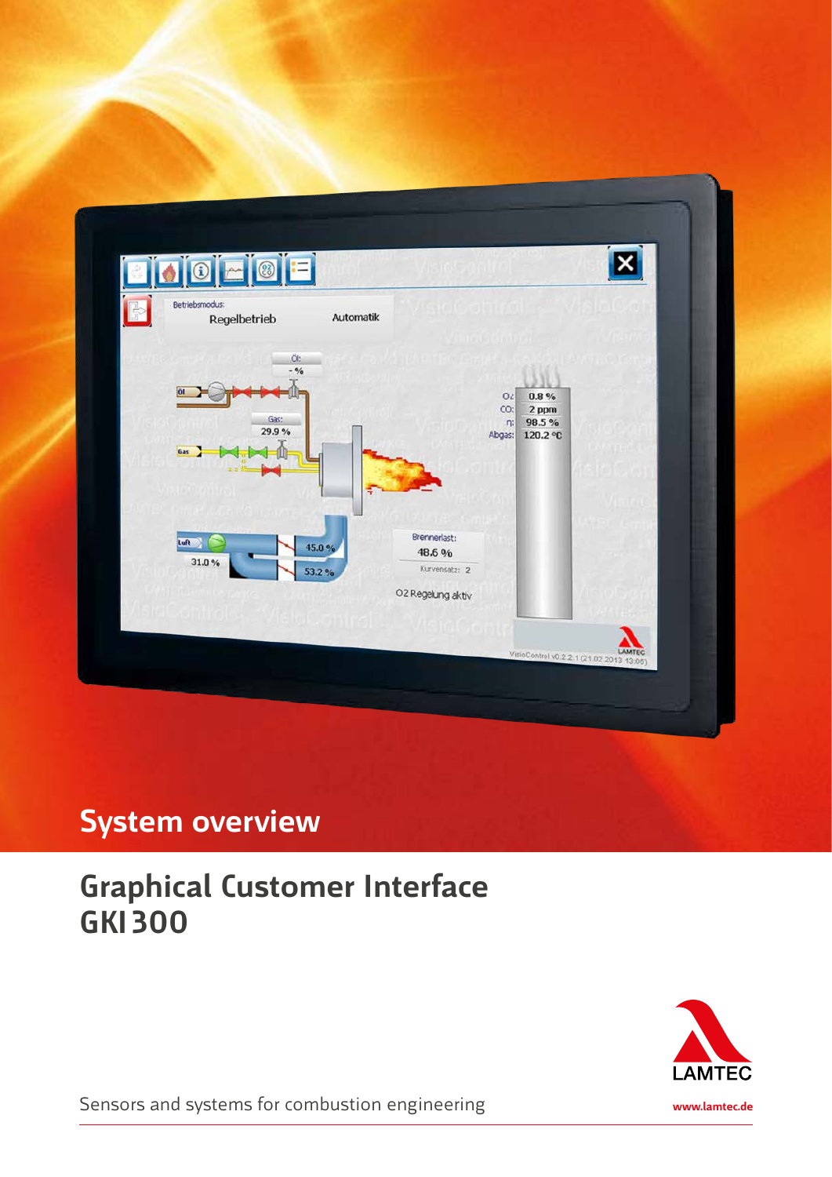

## **System overview**

# **Graphical Customer Interface GKI 300**



Sensors and systems for combustion engineering **www.lamtec.de**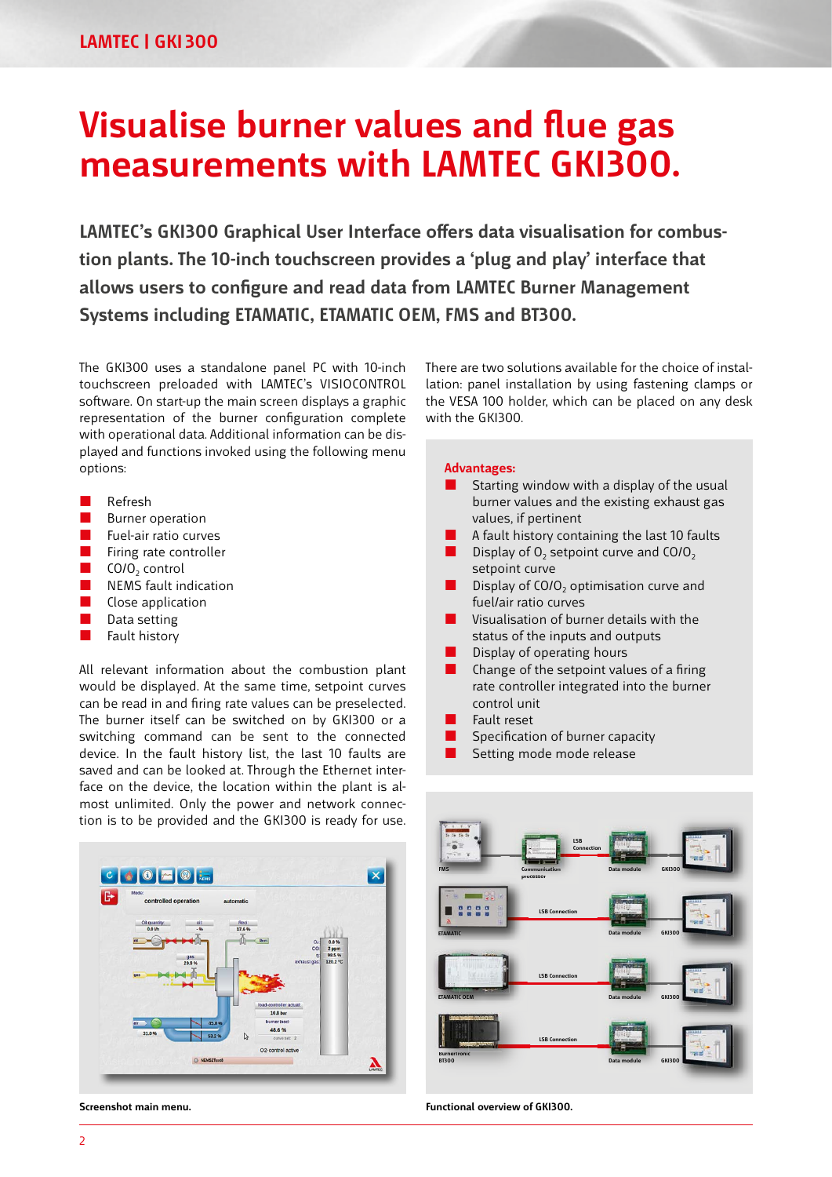# **Visualise burner values and flue gas measurements with LAMTEC GKI300.**

**LAMTEC's GKI300 Graphical User Interface offers data visualisation for combustion plants. The 10-inch touchscreen provides a 'plug and play' interface that allows users to configure and read data from LAMTEC Burner Management Systems including ETAMATIC, ETAMATIC OEM, FMS and BT300.**

The GKI300 uses a standalone panel PC with 10-inch touchscreen preloaded with LAMTEC's VISIOCONTROL software. On start-up the main screen displays a graphic representation of the burner configuration complete with operational data. Additional information can be displayed and functions invoked using the following menu options:

- Refresh
- Burner operation
- $\blacksquare$  Fuel-air ratio curves
- $\blacksquare$  Firing rate controller
- $\Box$  CO/O<sub>2</sub> control
- **NEMS** fault indication
- Close application
- Data setting
- Fault history

All relevant information about the combustion plant would be displayed. At the same time, setpoint curves can be read in and firing rate values can be preselected. The burner itself can be switched on by GKI300 or a switching command can be sent to the connected device. In the fault history list, the last 10 faults are saved and can be looked at. Through the Ethernet interface on the device, the location within the plant is almost unlimited. Only the power and network connection is to be provided and the GKI300 is ready for use.



**Screenshot main menu.**

There are two solutions available for the choice of installation: panel installation by using fastening clamps or the VESA 100 holder, which can be placed on any desk with the GKI300.

#### **Advantages:**

- $\blacksquare$  Starting window with a display of the usual burner values and the existing exhaust gas values, if pertinent
- A fault history containing the last 10 faults
- Display of  $O_2$  setpoint curve and CO/ $O_2$ setpoint curve
- Display of CO/O<sub>2</sub> optimisation curve and fuel/air ratio curves
- $\blacksquare$  Visualisation of burner details with the status of the inputs and outputs
- Display of operating hours
- $\blacksquare$  Change of the setpoint values of a firing rate controller integrated into the burner control unit
- Fault reset
- Specification of burner capacity
- Setting mode mode release



**Functional overview of GKI300.**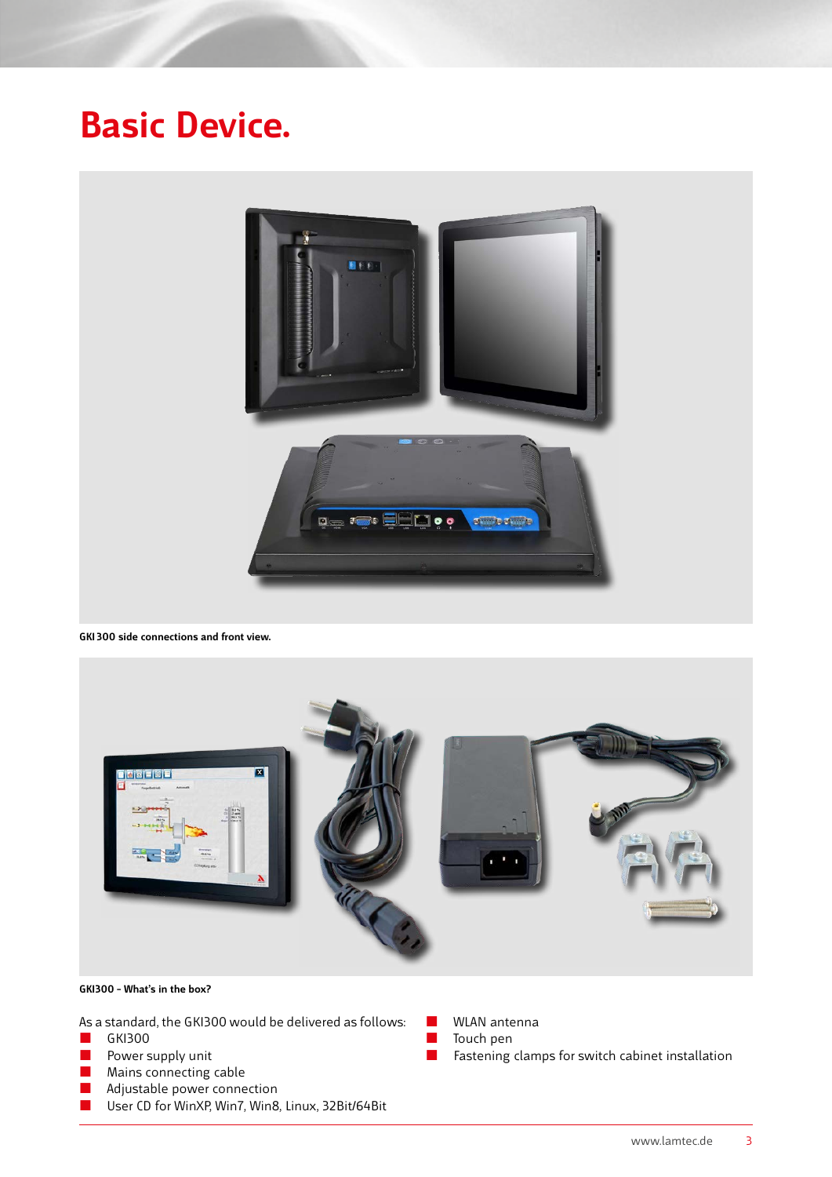# **Basic Device.**



**GKI 300 side connections and front view.**



## **GKI300 – What's in the box?**

As a standard, the GKI300 would be delivered as follows:

- GKI300
- $\blacksquare$  Power supply unit
- **Mains connecting cable**
- **Adjustable power connection**
- User CD for WinXP, Win7, Win8, Linux, 32Bit/64Bit
- **WLAN** antenna
- Touch pen
- **Fastening clamps for switch cabinet installation**